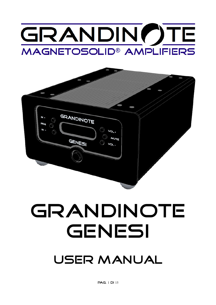# GRANDIN()TE **MAGNETOSOLID® AMPLIFIERS**



# GRANDINOTE GENESI

# user manual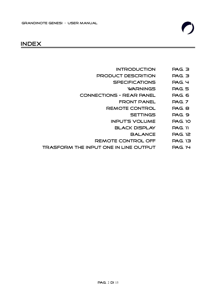

# index

- introduction Pag. 3
- product descrition Pag. 3
	- specifications Pag. 4
		- warnings Pag. 5
- Connections Rear Panel Pag. 6
	- FRONT PANEL PAG. 7
	- Remote control Pag. 8
		- settings Pag. 9
		- Input's volume Pag. 10
			- black display Pag. 11
				- Balance Pag. 12
	- REMOTE CONTROL OFF PAG. 13
- Trasform the input one in line output Pag. 14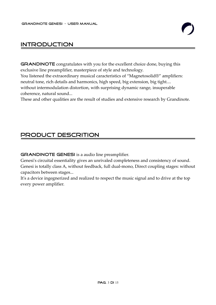# introduction

GRANDINOTE congratulates with you for the excellent choice done, buying this exclusive line preamplifier, masterpiece of style and technology.

You listened the extraordinary musical caracteristics of "Magnetosolid®" amplifiers: neutral tone, rich details and harmonics, high speed, big extension, big tight.... without intermodulation distortion, with surprising dynamic range, insuperable coherence, natural sound...

These and other qualities are the result of studies and extensive research by Grandinote.

# product descrition

**GRANDINOTE GENESI** is a audio line preamplifier.

Genesi's circuital essentiality gives an unrivaled completeness and consistency of sound. Genesi is totally class A, without feedback, full dual-mono, Direct coupling stages: without capacitors between stages...

It's a device ingegnerized and realized to respect the music signal and to drive at the top every power amplifier.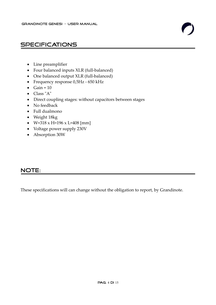# specifications

- Line preamplifier
- Four balanced inputs XLR (full-balanced)
- One balanced output XLR (full-balanced)
- Frequency response 0,5Hz 650 kHz
- $\bullet$  Gain = 10
- Class "A"
- Direct coupling stages: without capacitors between stages
- No feedback
- Full dualmono
- Weight 18kg
- $\bullet$  W=318 x H=196 x L=408 [mm]
- Voltage power supply 230V
- Absorption 30W

### NOTE:

These specifications will can change without the obligation to report, by Grandinote.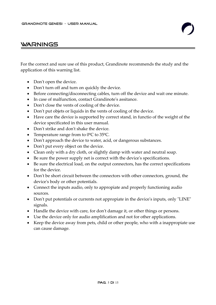### **WARNINGS**

For the correct and sure use of this product, Grandinote recommends the study and the application of this warning list.

- Don't open the device.
- Don't turn off and turn on quickly the device.
- Before connecting/disconnecting cables, turn off the device and wait one minute.
- In case of malfunction, contact Grandinote's assitance.
- Don't close the vents of cooling of the device.
- Don't put objets or liquids in the vents of cooling of the device.
- Have care the device is supported by correct stand, in functio of the weight of the device specificated in this user manual.
- Don't strike and don't shake the device.
- Temperature range from to  $0^{\circ}$ C to  $35^{\circ}$ C.
- Don't approach the device to water, acid, or dangerous substances.
- Don't put every object on the device.
- Clean only with a dry cloth, or slightly damp with water and neutral soap.
- Be sure the power supply net is correct with the device's specifications.
- Be sure the electrical load, on the output connectors, has the correct specifications for the device.
- Don't be short circuit between the connectors with other connectors, ground, the device's body or other potentials.
- Connect the inputs audio, only to appropiate and properly functioning audio sources.
- Don't put potentials or currents not appropiate in the device's inputs, only "LINE" signals.
- Handle the device with care, for don't damage it, or other things or persons.
- Use the device only for audio amplification and not for other applications.
- Keep the device away from pets, child or other people, who with a inappropiate use can cause damage.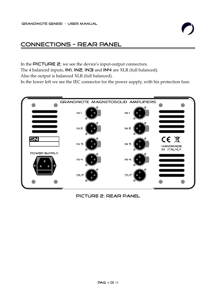# Connections - Rear Panel

In the PICTURE 2, we see the device's input-output connectors.

The 4 balanced inputs, IN1, IN2, IN3 and IN4 are XLR (full balanced).

Also the output is balanced XLR (full balanced).

In the lower left we see the IEC connector for the power supply, with his protection fuse.



picture 2: rear panel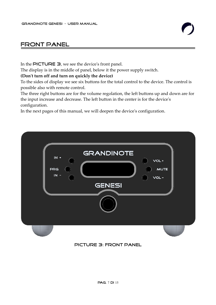# Front panel

In the **PICTURE 3**, we see the device's front panel.

The display is in the middle of panel, below it the power supply switch.

**(Don't turn off and turn on quickly the device)**

To the sides of display we see six buttons for the total control to the device. The control is possible also with remote control.

The three right buttons are for the volume regolation, the left buttons up and down are for the input increase and decrease. The left button in the center is for the device's configuration.

In the next pages of this manual, we will deepen the device's configuration.



#### picture 3: front panel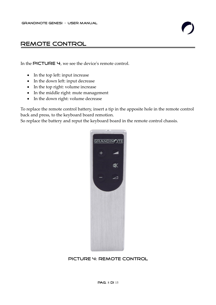# Remote control

In the PICTURE  $\boldsymbol{\varphi}$ , we see the device's remote control.

- In the top left: input increase
- In the down left: input decrease
- In the top right: volume increase
- In the middle right: mute management
- In the down right: volume decrease

To replace the remote control battery, insert a tip in the apposite hole in the remote control back and press, to the keyboard board remotion.

So replace the battery and reput the keyboard board in the remote control chassis.



#### picture 4: remote control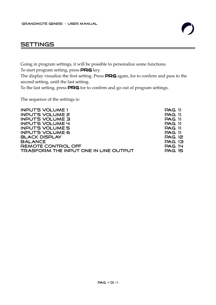# **SETTINGS**

Going in program settings, it will be possible to personalize some functions.

To start program setting, press PRG key.

The display visualize the first setting. Press PRG again, for to confirm and pass to the second setting, until the last setting.

To the last setting, press PRG for to confirm and go out of program settings.

The sequence of the settings is:

| <b>INPUT'S VOLUME 1</b>                      | <b>PAG.</b> 11 |
|----------------------------------------------|----------------|
| <b>INPUT'S VOLUME 2</b>                      | <b>PAG.</b> 11 |
| <b>INPUT'S VOLUME 3</b>                      | <b>PAG.</b> 11 |
| <b>INPUT'S VOLUME 4</b>                      | PAG. 11        |
| <b>INPUT'S VOLUME 5</b>                      | <b>PAG.</b> 11 |
| <b>INPUT'S VOLUME 6</b>                      | <b>PAG.</b> 11 |
| <b>BLACK DISPLAY</b>                         | <b>PAG. 12</b> |
| <b>BALANCE</b>                               | PAG. 13        |
| REMOTE CONTROL OFF                           | <b>PAG. 14</b> |
| <b>TRASFORM THE INPUT ONE IN LINE OUTPUT</b> | PAG. 15        |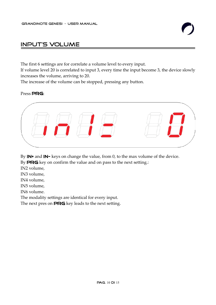# Input's Volume

The first 6 settings are for correlate a volume level to every input.

If volume level 20 is correlated to input 3, every time the input become 3, the device slowly increases the volume, arriving to 20.

The increase of the volume can be stopped, pressing any button.

#### Press PRG:



By IN<sup>+</sup> and IN<sup>-</sup> keys on change the value, from 0, to the max volume of the device.

By **PRG** key on confirm the value and on pass to the next setting.:

IN2 volume,

IN3 volume,

IN4 volume,

IN5 volume,

IN6 volume.

The modality settings are identical for every input.

The next pres on **PRG** key leads to the next setting.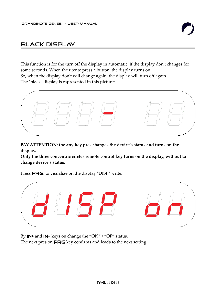# black display

This function is for the turn off the display in automatic, if the display don't changes for some seconds. When the utente press a button, the display turns on. So, when the display don't will change again, the display will turn off again. The "black" display is rapresented in this picture:



**PAY ATTENTION: the any key pres changes the device's status and turns on the display.**

**Only the three concentric circles remote control key turns on the display, without to change device's status.**

Press PRG, to visualize on the display "DISP" write:



By **IN**<sup>+</sup> and **IN**<sup>-</sup> keys on change the "ON" / "OF" status. The next pres on **PRG** key confirms and leads to the next setting.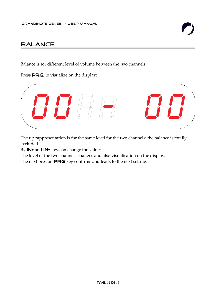# **BALANCE**

Balance is for different level of volume between the two channels.

Press **PRG**, to visualize on the display:



The up rappresentation is for the same level for the two channels: the balance is totally excluded.

By **IN**+ and **IN**- keys on change the value:

The level of the two channels changes and also visualisation on the display.

The next pres on PRG key confirms and leads to the next setting.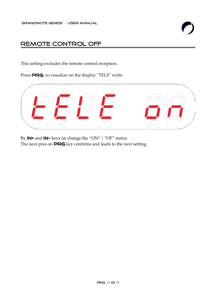# Remote control off

This setting excludes the remote control reception.

Press **PRG**, to visualize on the display "TELE" write:



By **IN**<sup>+</sup> and **IN**<sup>-</sup> keys on change the "ON" / "OF" status. The next pres on **PRG** key confirms and leads to the next setting.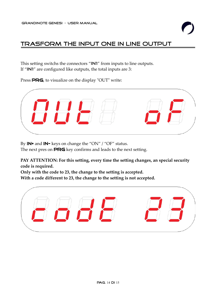# Trasform the input one in line output

This setting switchs the connectors "IN1" from inputs to line outputs. If "IN1" are configured like outputs, the total inputs are 3:

Press **PRG**, to visualize on the display "OUT" write:



By IN<sup>+</sup> and IN<sup>-</sup> keys on change the "ON" / "OF" status.

The next pres on **PRG** key confirms and leads to the next setting.

**PAY ATTENTION: For this setting, every time the setting changes, an special security code is required.**

**Only with the code to 23, the change to the setting is accepted. With a code different to 23, the change to the setting is not accepted.**